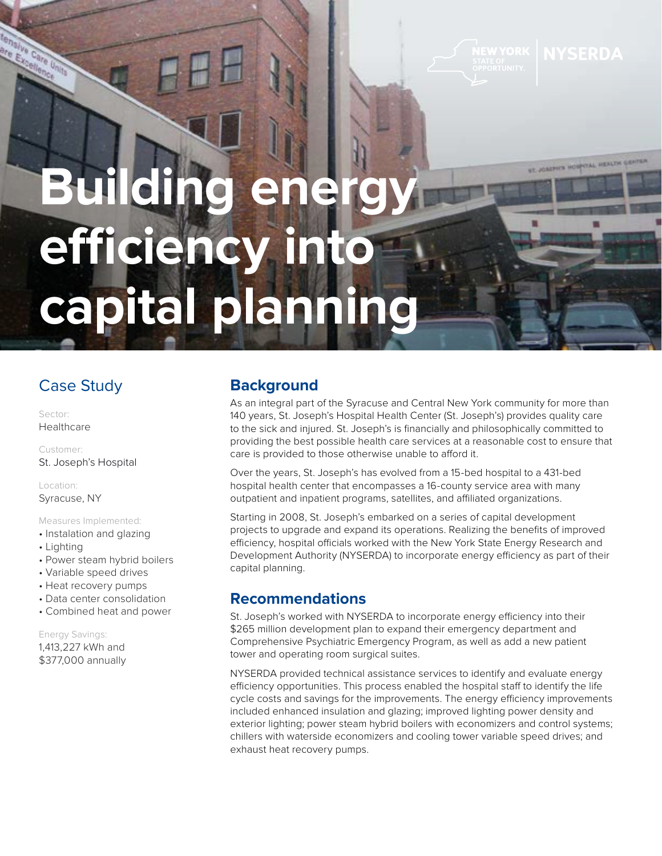ST. JOSEPH'S HOSPITAL HEALTH GENTS

# **Building energy efficiency into capital planning**

## Case Study

Sector: Healthcare

are Excel Care

> Customer: St. Joseph's Hospital

Location: Syracuse, NY

Measures Implemented:

- Instalation and glazing
- Lighting
- Power steam hybrid boilers
- Variable speed drives
- Heat recovery pumps
- Data center consolidation
- Combined heat and power

Energy Savings: 1,413,227 kWh and \$377,000 annually

### **Background**

As an integral part of the Syracuse and Central New York community for more than 140 years, St. Joseph's Hospital Health Center (St. Joseph's) provides quality care to the sick and injured. St. Joseph's is financially and philosophically committed to providing the best possible health care services at a reasonable cost to ensure that care is provided to those otherwise unable to afford it.

Over the years, St. Joseph's has evolved from a 15-bed hospital to a 431-bed hospital health center that encompasses a 16-county service area with many outpatient and inpatient programs, satellites, and affiliated organizations.

Starting in 2008, St. Joseph's embarked on a series of capital development projects to upgrade and expand its operations. Realizing the benefits of improved efficiency, hospital officials worked with the New York State Energy Research and Development Authority (NYSERDA) to incorporate energy efficiency as part of their capital planning.

#### **Recommendations**

St. Joseph's worked with NYSERDA to incorporate energy efficiency into their \$265 million development plan to expand their emergency department and Comprehensive Psychiatric Emergency Program, as well as add a new patient tower and operating room surgical suites.

NYSERDA provided technical assistance services to identify and evaluate energy efficiency opportunities. This process enabled the hospital staff to identify the life cycle costs and savings for the improvements. The energy efficiency improvements included enhanced insulation and glazing; improved lighting power density and exterior lighting; power steam hybrid boilers with economizers and control systems; chillers with waterside economizers and cooling tower variable speed drives; and exhaust heat recovery pumps.